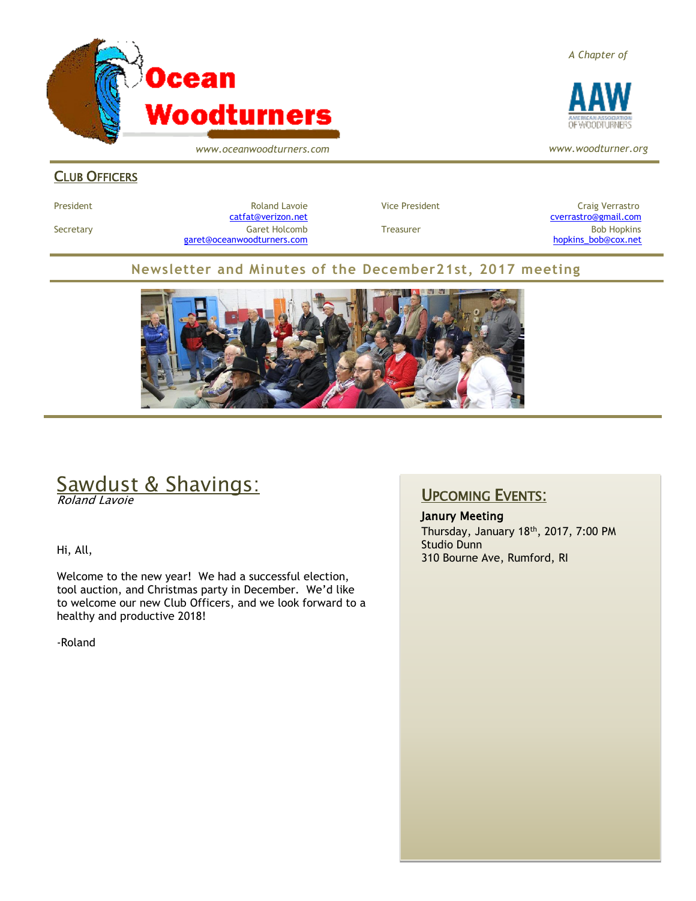

*www.oceanwoodturners.com*

*A Chapter of*



*www.woodturner.org*

#### **CLUB OFFICERS**

President Exercise Craig Verrastro<br>Catat Commet Craig Verrastro Craig Verrastro Craig Verrastro Craig Verrastro Commet Commet Commet Commet Comme<br>Commet Craig Verrastro Commet Craig Verrastro Craig Verrastro Commet Commet Secretary Garet Holcomb Treasurer Bob Hopkins [garet@oceanwoodturners.com](mailto:garet@oceanwoodturners.com) example and the state of the state of the [hopkins\\_bob@cox.net](mailto:hopkins_bob@cox.net)

cverrastro@gmail.com

#### **Newsletter and Minutes of the December21st, 2017 meeting**



# Sawdust & Shavings:

Roland Lavoie

Hi, All,

Welcome to the new year! We had a successful election, tool auction, and Christmas party in December. We'd like to welcome our new Club Officers, and we look forward to a healthy and productive 2018!

-Roland

#### UPCOMING EVENTS:

Janury Meeting Thursday, January 18th, 2017, 7:00 PM Studio Dunn 310 Bourne Ave, Rumford, RI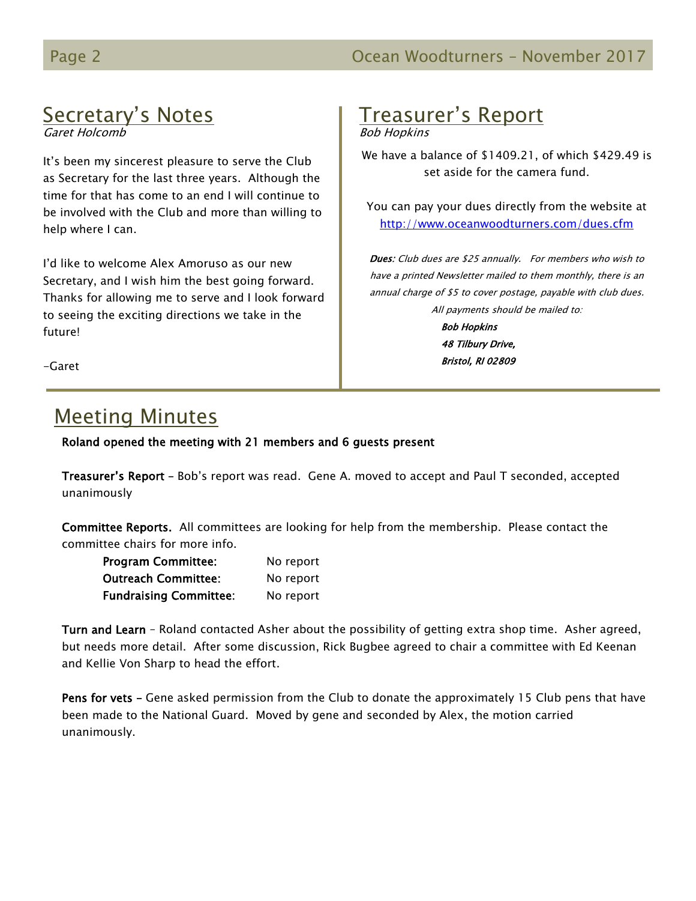### Secretary's Notes

Garet Holcomb

It's been my sincerest pleasure to serve the Club as Secretary for the last three years. Although the time for that has come to an end I will continue to be involved with the Club and more than willing to help where I can.

I'd like to welcome Alex Amoruso as our new Secretary, and I wish him the best going forward. Thanks for allowing me to serve and I look forward to seeing the exciting directions we take in the future!

# Treasurer's Report

Bob Hopkins

We have a balance of \$1409.21, of which \$429.49 is set aside for the camera fund.

You can pay your dues directly from the website at <http://www.oceanwoodturners.com/dues.cfm>

Dues: Club dues are \$25 annually. For members who wish to have a printed Newsletter mailed to them monthly, there is an annual charge of \$5 to cover postage, payable with club dues. All payments should be mailed to:

> Bob Hopkins 48 Tilbury Drive, Bristol, RI 02809

-Garet

## Meeting Minutes

Roland opened the meeting with 21 members and 6 guests present

Treasurer's Report – Bob's report was read. Gene A. moved to accept and Paul T seconded, accepted unanimously

Committee Reports. All committees are looking for help from the membership. Please contact the committee chairs for more info.

| <b>Program Committee:</b>     | No report |
|-------------------------------|-----------|
| <b>Outreach Committee:</b>    | No report |
| <b>Fundraising Committee:</b> | No report |

Turn and Learn – Roland contacted Asher about the possibility of getting extra shop time. Asher agreed, but needs more detail. After some discussion, Rick Bugbee agreed to chair a committee with Ed Keenan and Kellie Von Sharp to head the effort.

Pens for vets - Gene asked permission from the Club to donate the approximately 15 Club pens that have been made to the National Guard. Moved by gene and seconded by Alex, the motion carried unanimously.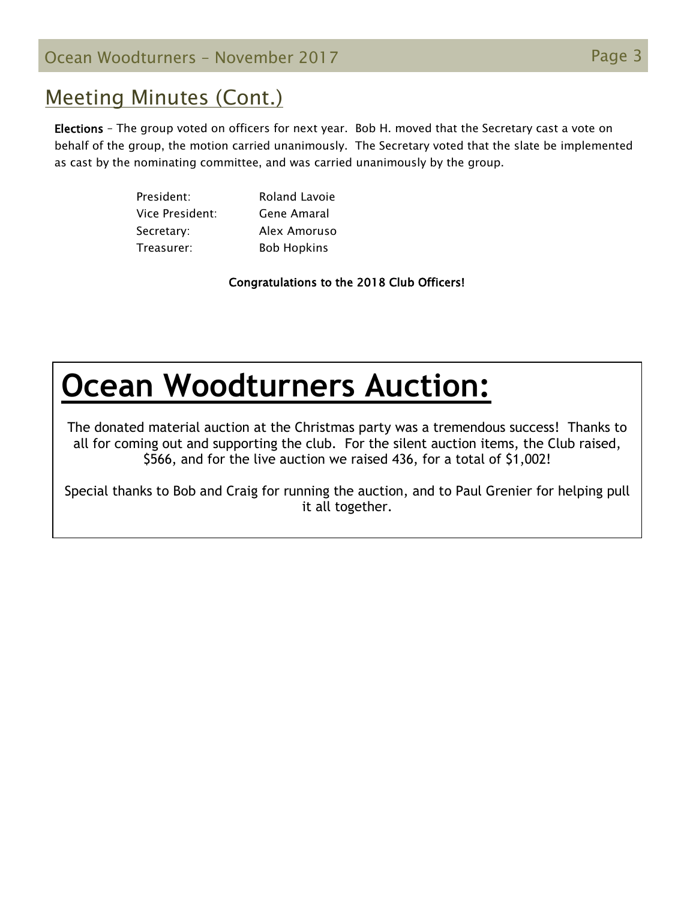# Meeting Minutes (Cont.)

Elections – The group voted on officers for next year. Bob H. moved that the Secretary cast a vote on behalf of the group, the motion carried unanimously. The Secretary voted that the slate be implemented as cast by the nominating committee, and was carried unanimously by the group.

| President:      | Roland Lavoie      |
|-----------------|--------------------|
| Vice President: | Gene Amaral        |
| Secretary:      | Alex Amoruso       |
| Treasurer:      | <b>Bob Hopkins</b> |

Congratulations to the 2018 Club Officers!

# **Ocean Woodturners Auction:**

The donated material auction at the Christmas party was a tremendous success! Thanks to all for coming out and supporting the club. For the silent auction items, the Club raised, \$566, and for the live auction we raised 436, for a total of \$1,002!

Special thanks to Bob and Craig for running the auction, and to Paul Grenier for helping pull it all together.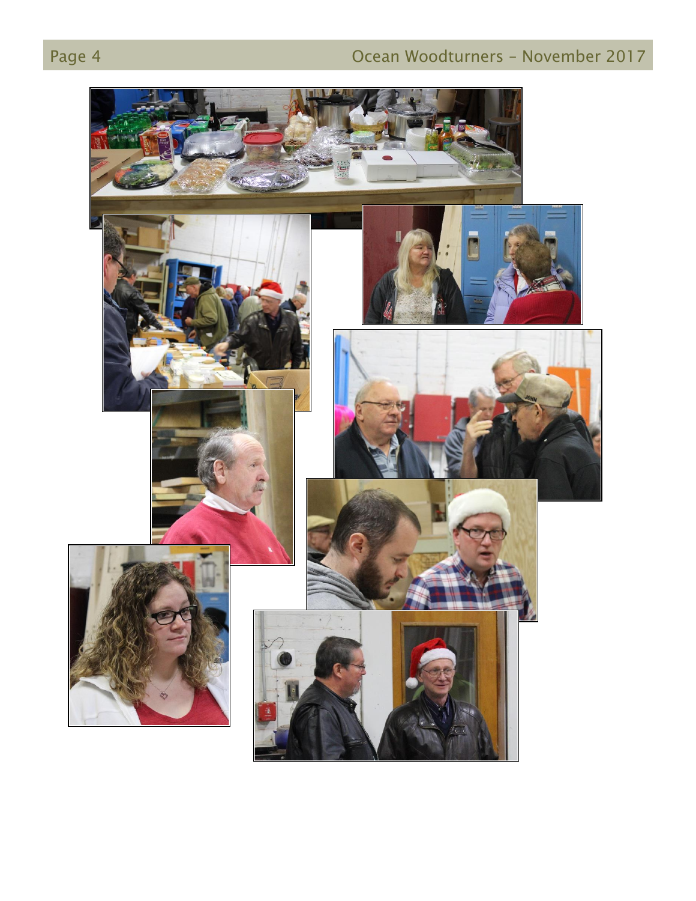# Page 4 Ocean Woodturners – November 2017